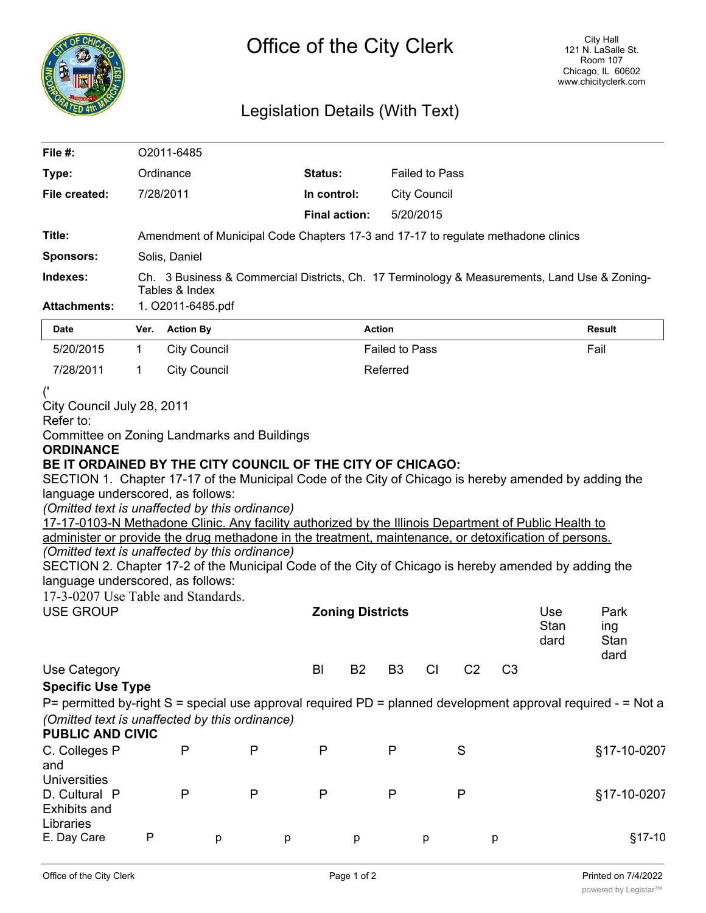

## Legislation Details (With Text)

| File $#$ :                                                                                                                                           |                                                                                                                | O2011-6485                                                                                                                                                                                                                                                                                                                                                                                                                                                                                                                                                                                        |  |                         |                |                       |                |                |                     |                             |  |  |
|------------------------------------------------------------------------------------------------------------------------------------------------------|----------------------------------------------------------------------------------------------------------------|---------------------------------------------------------------------------------------------------------------------------------------------------------------------------------------------------------------------------------------------------------------------------------------------------------------------------------------------------------------------------------------------------------------------------------------------------------------------------------------------------------------------------------------------------------------------------------------------------|--|-------------------------|----------------|-----------------------|----------------|----------------|---------------------|-----------------------------|--|--|
| Type:                                                                                                                                                |                                                                                                                | Ordinance                                                                                                                                                                                                                                                                                                                                                                                                                                                                                                                                                                                         |  | Status:                 |                | <b>Failed to Pass</b> |                |                |                     |                             |  |  |
| File created:                                                                                                                                        | 7/28/2011                                                                                                      |                                                                                                                                                                                                                                                                                                                                                                                                                                                                                                                                                                                                   |  | In control:             |                | <b>City Council</b>   |                |                |                     |                             |  |  |
|                                                                                                                                                      |                                                                                                                |                                                                                                                                                                                                                                                                                                                                                                                                                                                                                                                                                                                                   |  | <b>Final action:</b>    |                | 5/20/2015             |                |                |                     |                             |  |  |
| Title:                                                                                                                                               |                                                                                                                | Amendment of Municipal Code Chapters 17-3 and 17-17 to regulate methadone clinics                                                                                                                                                                                                                                                                                                                                                                                                                                                                                                                 |  |                         |                |                       |                |                |                     |                             |  |  |
| <b>Sponsors:</b>                                                                                                                                     |                                                                                                                | Solis, Daniel                                                                                                                                                                                                                                                                                                                                                                                                                                                                                                                                                                                     |  |                         |                |                       |                |                |                     |                             |  |  |
| Indexes:                                                                                                                                             | Ch. 3 Business & Commercial Districts, Ch. 17 Terminology & Measurements, Land Use & Zoning-<br>Tables & Index |                                                                                                                                                                                                                                                                                                                                                                                                                                                                                                                                                                                                   |  |                         |                |                       |                |                |                     |                             |  |  |
| <b>Attachments:</b>                                                                                                                                  |                                                                                                                | 1. O2011-6485.pdf                                                                                                                                                                                                                                                                                                                                                                                                                                                                                                                                                                                 |  |                         |                |                       |                |                |                     |                             |  |  |
| Date                                                                                                                                                 |                                                                                                                | Ver. Action By                                                                                                                                                                                                                                                                                                                                                                                                                                                                                                                                                                                    |  |                         | <b>Action</b>  |                       |                |                |                     | <b>Result</b>               |  |  |
| 5/20/2015                                                                                                                                            | $\mathbf{1}$                                                                                                   | <b>City Council</b>                                                                                                                                                                                                                                                                                                                                                                                                                                                                                                                                                                               |  |                         |                | <b>Failed to Pass</b> |                |                |                     | Fail                        |  |  |
| 7/28/2011                                                                                                                                            | $\mathbf 1$                                                                                                    | <b>City Council</b><br>Referred                                                                                                                                                                                                                                                                                                                                                                                                                                                                                                                                                                   |  |                         |                |                       |                |                |                     |                             |  |  |
| City Council July 28, 2011<br>Refer to:<br><b>Committee on Zoning Landmarks and Buildings</b>                                                        |                                                                                                                |                                                                                                                                                                                                                                                                                                                                                                                                                                                                                                                                                                                                   |  |                         |                |                       |                |                |                     |                             |  |  |
| <b>ORDINANCE</b><br>language underscored, as follows:<br>language underscored, as follows:<br>17-3-0207 Use Table and Standards.<br><b>USE GROUP</b> |                                                                                                                | BE IT ORDAINED BY THE CITY COUNCIL OF THE CITY OF CHICAGO:<br>SECTION 1. Chapter 17-17 of the Municipal Code of the City of Chicago is hereby amended by adding the<br>(Omitted text is unaffected by this ordinance)<br>17-17-0103-N Methadone Clinic. Any facility authorized by the Illinois Department of Public Health to<br>administer or provide the drug methadone in the treatment, maintenance, or detoxification of persons.<br>(Omitted text is unaffected by this ordinance)<br>SECTION 2. Chapter 17-2 of the Municipal Code of the City of Chicago is hereby amended by adding the |  | <b>Zoning Districts</b> |                |                       |                |                | Use<br>Stan<br>dard | Park<br>ing<br>Stan<br>dard |  |  |
| Use Category                                                                                                                                         |                                                                                                                |                                                                                                                                                                                                                                                                                                                                                                                                                                                                                                                                                                                                   |  | BI<br><b>B2</b>         | B <sub>3</sub> | CI                    | C <sub>2</sub> | C <sub>3</sub> |                     |                             |  |  |
| <b>Specific Use Type</b>                                                                                                                             |                                                                                                                | P= permitted by-right S = special use approval required PD = planned development approval required - = Not a<br>(Omitted text is unaffected by this ordinance)                                                                                                                                                                                                                                                                                                                                                                                                                                    |  |                         |                |                       |                |                |                     |                             |  |  |
|                                                                                                                                                      |                                                                                                                | $\mathsf{P}$<br>P                                                                                                                                                                                                                                                                                                                                                                                                                                                                                                                                                                                 |  | $\mathsf{P}$            | $\mathsf{P}$   |                       | $\mathsf S$    |                |                     | §17-10-0207                 |  |  |
| <b>PUBLIC AND CIVIC</b><br>C. Colleges P<br>and<br><b>Universities</b><br>D. Cultural P<br><b>Exhibits and</b><br>Libraries                          |                                                                                                                | P<br>P                                                                                                                                                                                                                                                                                                                                                                                                                                                                                                                                                                                            |  | P                       | P              |                       | $\mathsf{P}$   |                |                     | §17-10-0207                 |  |  |